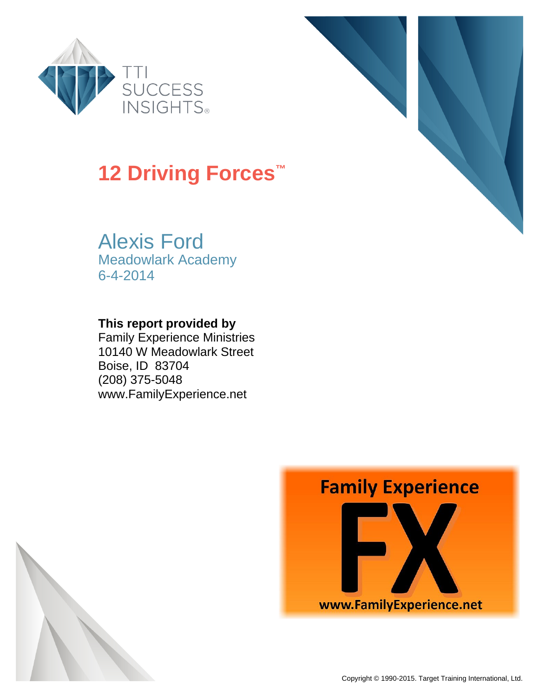

#### **12 Driving Forces™**

#### Alexis Ford

Meadowlark Academy 6-4-2014

#### **This report provided by**

Family Experience Ministries 10140 W Meadowlark Street Boise, ID 83704 (208) 375-5048 www.FamilyExperience.net

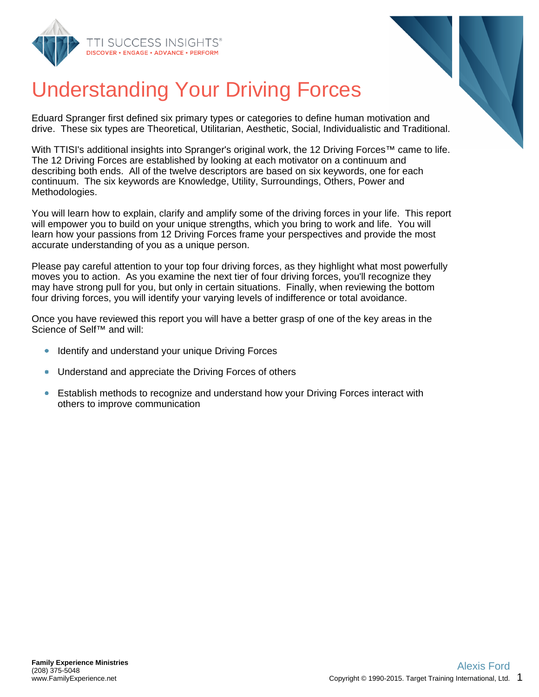



# Understanding Your Driving Forces

Eduard Spranger first defined six primary types or categories to define human motivation and drive. These six types are Theoretical, Utilitarian, Aesthetic, Social, Individualistic and Traditional.

With TTISI's additional insights into Spranger's original work, the 12 Driving Forces™ came to life. The 12 Driving Forces are established by looking at each motivator on a continuum and describing both ends. All of the twelve descriptors are based on six keywords, one for each continuum. The six keywords are Knowledge, Utility, Surroundings, Others, Power and Methodologies.

You will learn how to explain, clarify and amplify some of the driving forces in your life. This report will empower you to build on your unique strengths, which you bring to work and life. You will learn how your passions from 12 Driving Forces frame your perspectives and provide the most accurate understanding of you as a unique person.

Please pay careful attention to your top four driving forces, as they highlight what most powerfully moves you to action. As you examine the next tier of four driving forces, you'll recognize they may have strong pull for you, but only in certain situations. Finally, when reviewing the bottom four driving forces, you will identify your varying levels of indifference or total avoidance.

Once you have reviewed this report you will have a better grasp of one of the key areas in the Science of Self™ and will:

- Identify and understand your unique Driving Forces
- $\bullet$ Understand and appreciate the Driving Forces of others
- $\bullet$ Establish methods to recognize and understand how your Driving Forces interact with others to improve communication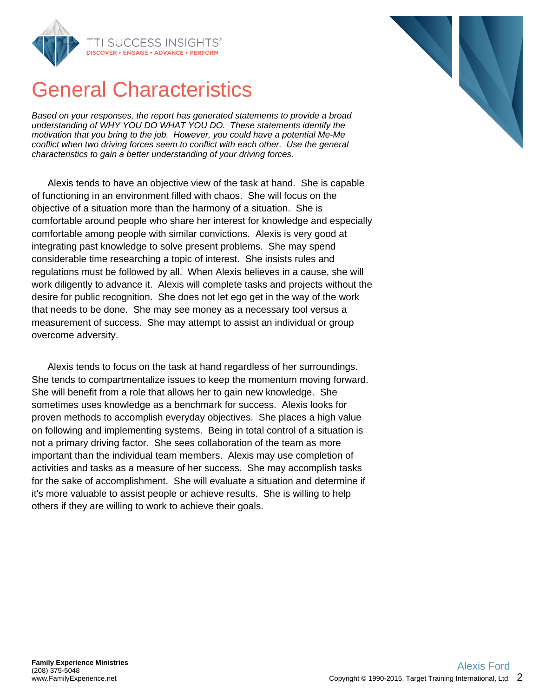

#### General Characteristics

Based on your responses, the report has generated statements to provide a broad understanding of WHY YOU DO WHAT YOU DO. These statements identify the motivation that you bring to the job. However, you could have a potential Me-Me conflict when two driving forces seem to conflict with each other. Use the general characteristics to gain a better understanding of your driving forces.

Alexis tends to have an objective view of the task at hand. She is capable of functioning in an environment filled with chaos. She will focus on the objective of a situation more than the harmony of a situation. She is comfortable around people who share her interest for knowledge and especially comfortable among people with similar convictions. Alexis is very good at integrating past knowledge to solve present problems. She may spend considerable time researching a topic of interest. She insists rules and regulations must be followed by all. When Alexis believes in a cause, she will work diligently to advance it. Alexis will complete tasks and projects without the desire for public recognition. She does not let ego get in the way of the work that needs to be done. She may see money as a necessary tool versus a measurement of success. She may attempt to assist an individual or group overcome adversity.

Alexis tends to focus on the task at hand regardless of her surroundings. She tends to compartmentalize issues to keep the momentum moving forward. She will benefit from a role that allows her to gain new knowledge. She sometimes uses knowledge as a benchmark for success. Alexis looks for proven methods to accomplish everyday objectives. She places a high value on following and implementing systems. Being in total control of a situation is not a primary driving factor. She sees collaboration of the team as more important than the individual team members. Alexis may use completion of activities and tasks as a measure of her success. She may accomplish tasks for the sake of accomplishment. She will evaluate a situation and determine if it's more valuable to assist people or achieve results. She is willing to help others if they are willing to work to achieve their goals.

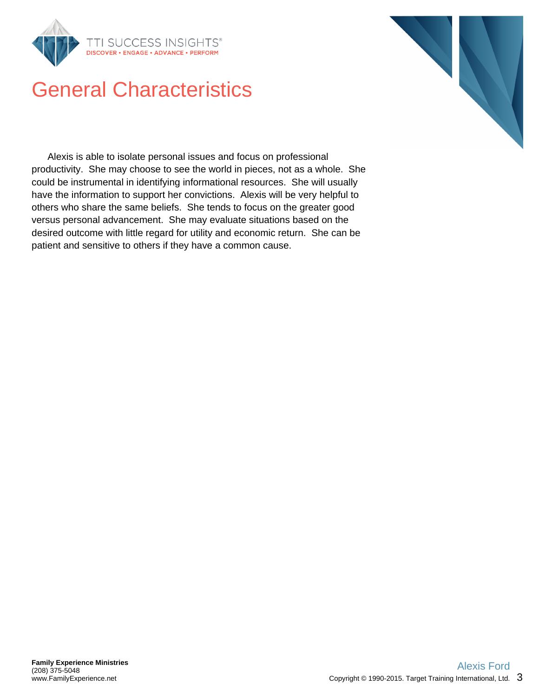

#### General Characteristics

Alexis is able to isolate personal issues and focus on professional productivity. She may choose to see the world in pieces, not as a whole. She could be instrumental in identifying informational resources. She will usually have the information to support her convictions. Alexis will be very helpful to others who share the same beliefs. She tends to focus on the greater good versus personal advancement. She may evaluate situations based on the desired outcome with little regard for utility and economic return. She can be patient and sensitive to others if they have a common cause.

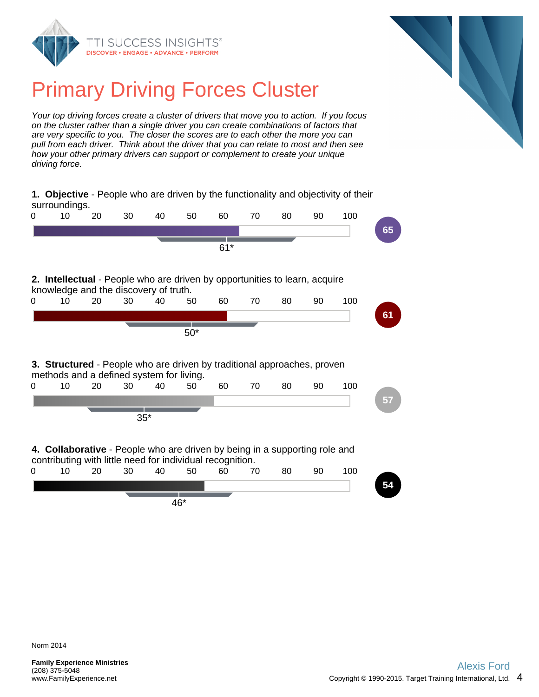



## Primary Driving Forces Cluster

Your top driving forces create a cluster of drivers that move you to action. If you focus on the cluster rather than a single driver you can create combinations of factors that are very specific to you. The closer the scores are to each other the more you can pull from each driver. Think about the driver that you can relate to most and then see how your other primary drivers can support or complement to create your unique driving force.

|   | surroundings.                                                                                                                           |    |       |    |       |       |    |    |    | 1. Objective - People who are driven by the functionality and objectivity of their |
|---|-----------------------------------------------------------------------------------------------------------------------------------------|----|-------|----|-------|-------|----|----|----|------------------------------------------------------------------------------------|
| 0 | 10                                                                                                                                      | 20 | 30    | 40 | 50    | 60    | 70 | 80 | 90 | 100                                                                                |
|   |                                                                                                                                         |    |       |    |       |       |    |    |    |                                                                                    |
|   |                                                                                                                                         |    |       |    |       | $61*$ |    |    |    |                                                                                    |
|   | 2. Intellectual - People who are driven by opportunities to learn, acquire                                                              |    |       |    |       |       |    |    |    |                                                                                    |
|   | knowledge and the discovery of truth.                                                                                                   |    |       |    |       |       |    |    |    |                                                                                    |
| 0 | 10                                                                                                                                      | 20 | 30    | 40 | 50    | 60    | 70 | 80 | 90 | 100                                                                                |
|   |                                                                                                                                         |    |       |    |       |       |    |    |    |                                                                                    |
|   |                                                                                                                                         |    |       |    | $50*$ |       |    |    |    |                                                                                    |
| 0 | 3. Structured - People who are driven by traditional approaches, proven<br>methods and a defined system for living.<br>10               | 20 | 30    | 40 | 50    | 60    | 70 | 80 | 90 | 100                                                                                |
|   |                                                                                                                                         |    | $35*$ |    |       |       |    |    |    |                                                                                    |
|   | 4. Collaborative - People who are driven by being in a supporting role and<br>contributing with little need for individual recognition. |    |       |    |       |       |    |    |    |                                                                                    |
| 0 | 10                                                                                                                                      | 20 | 30    | 40 | 50    | 60    | 70 | 80 | 90 | 100                                                                                |
|   |                                                                                                                                         |    |       |    | 46*   |       |    |    |    |                                                                                    |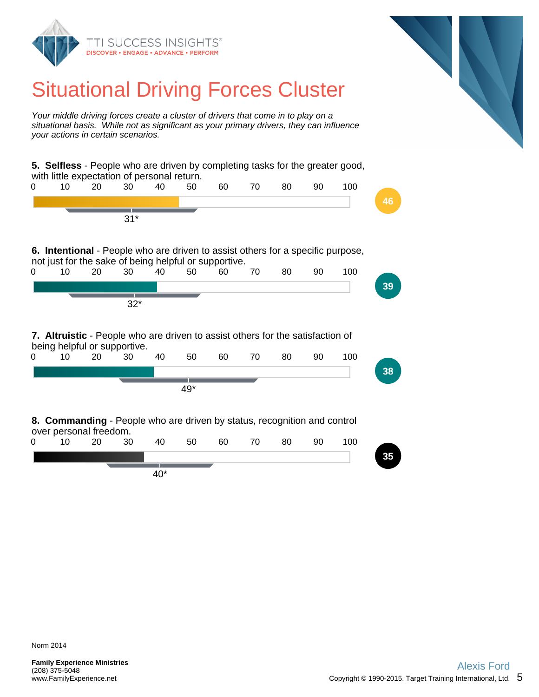

#### Situational Driving Forces Cluster

Your middle driving forces create a cluster of drivers that come in to play on a situational basis. While not as significant as your primary drivers, they can influence your actions in certain scenarios.

| 5. Selfless - People who are driven by completing tasks for the greater good,<br>with little expectation of personal return.             |                 |    |       |       |     |    |    |    |    |     |
|------------------------------------------------------------------------------------------------------------------------------------------|-----------------|----|-------|-------|-----|----|----|----|----|-----|
| 0                                                                                                                                        | 10              | 20 | 30    | 40    | 50  | 60 | 70 | 80 | 90 | 100 |
|                                                                                                                                          |                 |    |       |       |     |    |    |    |    | 46  |
|                                                                                                                                          |                 |    | $31*$ |       |     |    |    |    |    |     |
| 6. Intentional - People who are driven to assist others for a specific purpose,<br>not just for the sake of being helpful or supportive. |                 |    |       |       |     |    |    |    |    |     |
| 0                                                                                                                                        | 10              | 20 | 30    | 40    | 50  | 60 | 70 | 80 | 90 | 100 |
|                                                                                                                                          |                 |    |       |       |     |    |    |    |    | 39  |
|                                                                                                                                          |                 |    | $32*$ |       |     |    |    |    |    |     |
|                                                                                                                                          |                 |    |       |       |     |    |    |    |    |     |
| 7. Altruistic - People who are driven to assist others for the satisfaction of<br>being helpful or supportive.                           |                 |    |       |       |     |    |    |    |    |     |
| 0                                                                                                                                        | 10 <sup>°</sup> | 20 | 30    | 40    | 50  | 60 | 70 | 80 | 90 | 100 |
|                                                                                                                                          |                 |    |       |       |     |    |    |    |    | 38  |
|                                                                                                                                          |                 |    |       |       | 49* |    |    |    |    |     |
|                                                                                                                                          |                 |    |       |       |     |    |    |    |    |     |
| 8. Commanding - People who are driven by status, recognition and control<br>over personal freedom.                                       |                 |    |       |       |     |    |    |    |    |     |
| 0                                                                                                                                        | 10              | 20 | 30    | 40    | 50  | 60 | 70 | 80 | 90 | 100 |
|                                                                                                                                          |                 |    |       |       |     |    |    |    |    | 35  |
|                                                                                                                                          |                 |    |       |       |     |    |    |    |    |     |
|                                                                                                                                          |                 |    |       | $40*$ |     |    |    |    |    |     |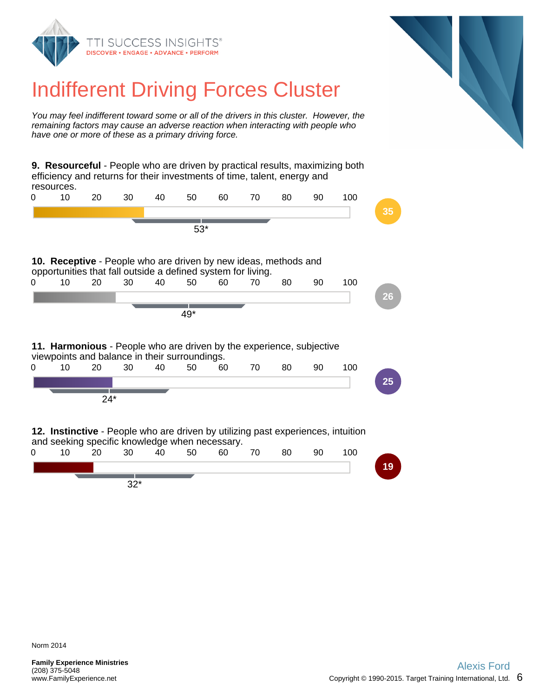



#### Indifferent Driving Forces Cluster

You may feel indifferent toward some or all of the drivers in this cluster. However, the remaining factors may cause an adverse reaction when interacting with people who have one or more of these as a primary driving force.

**9. Resourceful** - People who are driven by practical results, maximizing both efficiency and returns for their investments of time, talent, energy and resources. 0 10 20 30 40 50 60 70 80 90 100 **35** 53\* **10. Receptive** - People who are driven by new ideas, methods and opportunities that fall outside a defined system for living. 0 10 20 30 40 50 60 70 80 90 100 **26** 49\* **11. Harmonious** - People who are driven by the experience, subjective viewpoints and balance in their surroundings. 0 10 20 30 40 50 60 70 80 90 100 **25** 24\* **12. Instinctive** - People who are driven by utilizing past experiences, intuition and seeking specific knowledge when necessary.<br>0  $10$  20  $30$  40  $50$  60 0 10 20 30 40 50 60 70 80 90 100 **19** ۰. 32\*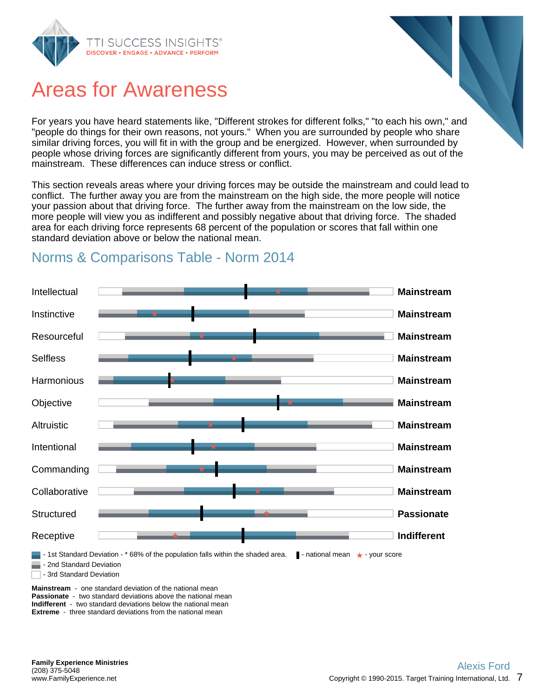

#### Areas for Awareness

For years you have heard statements like, "Different strokes for different folks," "to each his own," and "people do things for their own reasons, not yours." When you are surrounded by people who share similar driving forces, you will fit in with the group and be energized. However, when surrounded by people whose driving forces are significantly different from yours, you may be perceived as out of the mainstream. These differences can induce stress or conflict.

This section reveals areas where your driving forces may be outside the mainstream and could lead to conflict. The further away you are from the mainstream on the high side, the more people will notice your passion about that driving force. The further away from the mainstream on the low side, the more people will view you as indifferent and possibly negative about that driving force. The shaded area for each driving force represents 68 percent of the population or scores that fall within one standard deviation above or below the national mean.

#### Intellectual **Mainstream** Instinctive **Mainstream** Resourceful **Mainstream Mainstream** Selfless **Mainstream** Harmonious **Mainstream Objective Mainstream Mainstream** Altruistic **Mainstream** Intentional **Mainstream Commanding Commanding Commanding Commanding Commanding Commanding Commanding Commanding Commanding Commanding Commanding Commanding Commanding Commanding Commanding Commanding Commanding Commanding Commanding Commanding C** Collaborative **Mainstream Mainstream** Structured **Passionate** Receptive **Indifferent** - 1st Standard Deviation -  $*$  68% of the population falls within the shaded area.  $\blacksquare$  - national mean  $\star$  - your score - 2nd Standard Deviation - 3rd Standard Deviation

#### Norms & Comparisons Table - Norm 2014

**Mainstream** - one standard deviation of the national mean **Passionate** - two standard deviations above the national mean **Indifferent** - two standard deviations below the national mean **Extreme** - three standard deviations from the national mean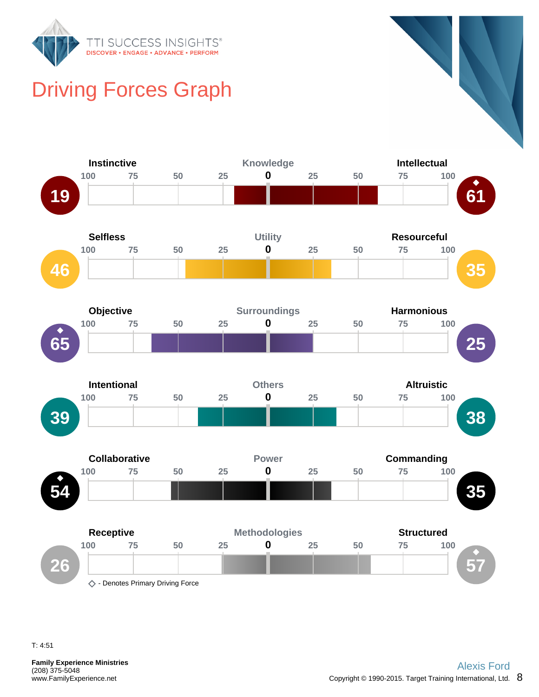

## Driving Forces Graph

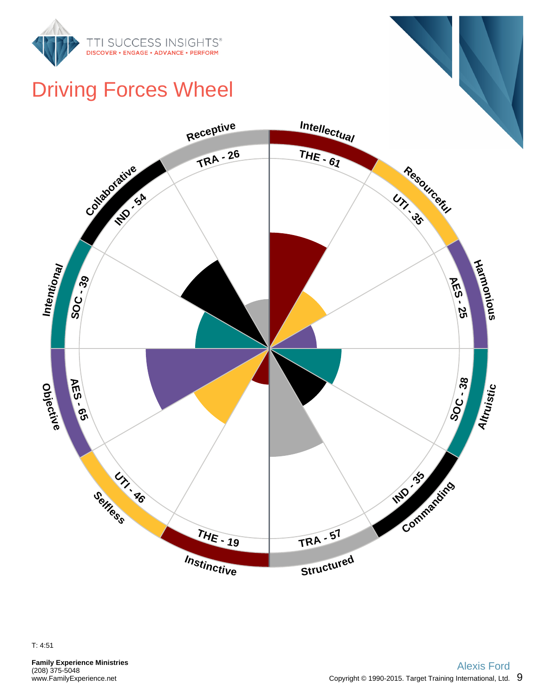

### Driving Forces Wheel